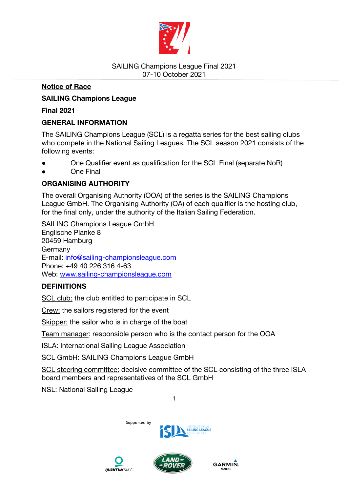

## **Notice of Race**

# **SAILING Champions League**

**Final 2021** 

## **GENERAL INFORMATION**

The SAILING Champions League (SCL) is a regatta series for the best sailing clubs who compete in the National Sailing Leagues. The SCL season 2021 consists of the following events:

- One Qualifier event as qualification for the SCL Final (separate NoR)
- One Final

# **ORGANISING AUTHORITY**

The overall Organising Authority (OOA) of the series is the SAILING Champions League GmbH. The Organising Authority (OA) of each qualifier is the hosting club, for the final only, under the authority of the Italian Sailing Federation.

SAILING Champions League GmbH Englische Planke 8 20459 Hamburg **Germany** E-mail: info@sailing-championsleague.com Phone: +49 40 226 316 4-63 Web: www.sailing-championsleague.com

# **DEFINITIONS**

SCL club: the club entitled to participate in SCL

Crew: the sailors registered for the event

Skipper: the sailor who is in charge of the boat

Team manager: responsible person who is the contact person for the OOA

ISLA: International Sailing League Association

SCL GmbH: SAILING Champions League GmbH

SCL steering committee: decisive committee of the SCL consisting of the three ISLA board members and representatives of the SCL GmbH

1

**NSL: National Sailing League** 

Supported by



GARMIN.



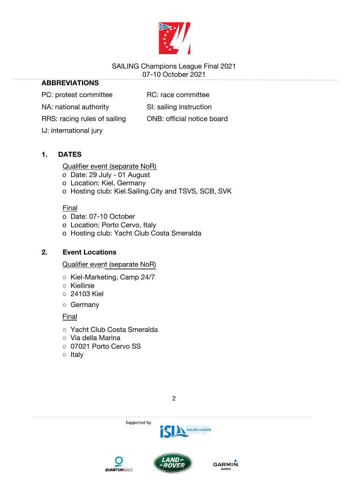

# **ABBREVIATIONS**

PC: protest committee RC: race committee

NA: national authority SI: sailing instruction

RRS: racing rules of sailing ONB: official notice board

IJ: international jury

# **1. DATES**

Qualifier event (separate NoR)

- o Date: 29 July 01 August
- o Location: Kiel, Germany
- o Hosting club: Kiel.Sailing.City and TSVS, SCB, SVK

Final

- o Date: 07-10 October
- o Location: Porto Cervo, Italy
- o Hosting club: Yacht Club Costa Smeralda

# **2. Event Locations**

Qualifier event (separate NoR)

- Kiel-Marketing, Camp 24/7
- Kiellinie
- 24103 Kiel
- Germany

Final

- Yacht Club Costa Smeralda
- Via della Marina
- 07021 Porto Cervo SS
- Italy





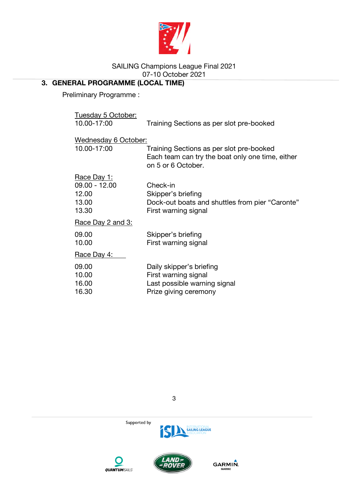

# **3. GENERAL PROGRAMME (LOCAL TIME)**

Preliminary Programme :

| Tuesday 5 October:          |                                                                                                                    |  |
|-----------------------------|--------------------------------------------------------------------------------------------------------------------|--|
| 10.00-17:00                 | Training Sections as per slot pre-booked                                                                           |  |
| <u>Wednesday 6 October:</u> |                                                                                                                    |  |
| 10.00-17:00                 | Training Sections as per slot pre-booked<br>Each team can try the boat only one time, either<br>on 5 or 6 October. |  |
| <u> Race Day 1:</u>         |                                                                                                                    |  |
| 09.00 - 12.00               | Check-in                                                                                                           |  |
| 12.00                       | Skipper's briefing                                                                                                 |  |
| 13.00<br>13.30              | Dock-out boats and shuttles from pier "Caronte"<br>First warning signal                                            |  |
| <u>Race Day 2 and 3:</u>    |                                                                                                                    |  |
| 09.00                       | Skipper's briefing                                                                                                 |  |
| 10.00                       | First warning signal                                                                                               |  |
| <u>Race Day 4:</u>          |                                                                                                                    |  |
| 09.00                       | Daily skipper's briefing                                                                                           |  |
| 10.00                       | First warning signal                                                                                               |  |
| 16.00                       | Last possible warning signal                                                                                       |  |
| 16.30                       | Prize giving ceremony                                                                                              |  |







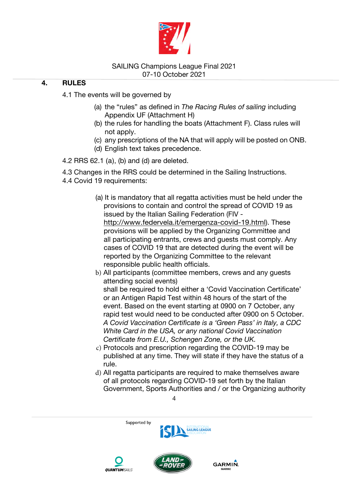

## **4. RULES**

4.1 The events will be governed by

- (a) the "rules" as defined in *The Racing Rules of sailing* including Appendix UF (Attachment H)
- (b) the rules for handling the boats (Attachment F). Class rules will not apply.
- (c) any prescriptions of the NA that will apply will be posted on ONB.
- (d) English text takes precedence.

4.2 RRS 62.1 (a), (b) and (d) are deleted.

4.3 Changes in the RRS could be determined in the Sailing Instructions.

- 4.4 Covid 19 requirements:
	- (a) It is mandatory that all regatta activities must be held under the provisions to contain and control the spread of COVID 19 as issued by the Italian Sailing Federation (FIV http://www.federvela.it/emergenza-covid-19.html). These provisions will be applied by the Organizing Committee and all participating entrants, crews and guests must comply. Any cases of COVID 19 that are detected during the event will be reported by the Organizing Committee to the relevant responsible public health officials.

b) All participants (committee members, crews and any guests attending social events) shall be required to hold either a 'Covid Vaccination Certificate' or an Antigen Rapid Test within 48 hours of the start of the event. Based on the event starting at 0900 on 7 October, any rapid test would need to be conducted after 0900 on 5 October. *A Covid Vaccination Certificate is a 'Green Pass' in Italy, a CDC White Card in the USA, or any national Covid Vaccination Certificate from E.U., Schengen Zone, or the UK.*

- c) Protocols and prescription regarding the COVID-19 may be published at any time. They will state if they have the status of a rule.
- d) All regatta participants are required to make themselves aware of all protocols regarding COVID-19 set forth by the Italian Government, Sports Authorities and / or the Organizing authority

GARMIN.





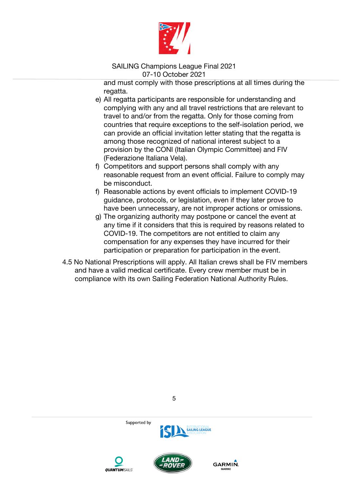

and must comply with those prescriptions at all times during the regatta.

- e) All regatta participants are responsible for understanding and complying with any and all travel restrictions that are relevant to travel to and/or from the regatta. Only for those coming from countries that require exceptions to the self-isolation period, we can provide an official invitation letter stating that the regatta is among those recognized of national interest subject to a provision by the CONI (Italian Olympic Committee) and FIV (Federazione Italiana Vela).
- f) Competitors and support persons shall comply with any reasonable request from an event official. Failure to comply may be misconduct.
- f) Reasonable actions by event officials to implement COVID-19 guidance, protocols, or legislation, even if they later prove to have been unnecessary, are not improper actions or omissions.
- g) The organizing authority may postpone or cancel the event at any time if it considers that this is required by reasons related to COVID-19. The competitors are not entitled to claim any compensation for any expenses they have incurred for their participation or preparation for participation in the event.
- 4.5 No National Prescriptions will apply. All Italian crews shall be FIV members and have a valid medical certificate. Every crew member must be in compliance with its own Sailing Federation National Authority Rules.









**GARMIN**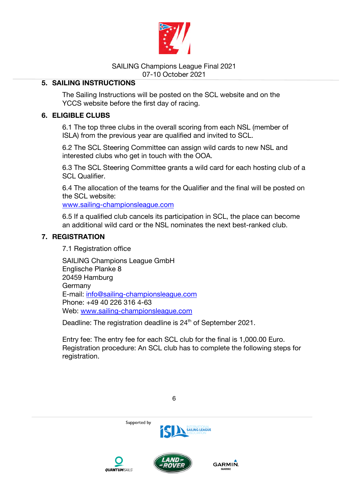

## **5. SAILING INSTRUCTIONS**

The Sailing Instructions will be posted on the SCL website and on the YCCS website before the first day of racing.

## **6. ELIGIBLE CLUBS**

6.1 The top three clubs in the overall scoring from each NSL (member of ISLA) from the previous year are qualified and invited to SCL.

6.2 The SCL Steering Committee can assign wild cards to new NSL and interested clubs who get in touch with the OOA.

6.3 The SCL Steering Committee grants a wild card for each hosting club of a SCL Qualifier.

6.4 The allocation of the teams for the Qualifier and the final will be posted on the SCL website:

www.sailing-championsleague.com

6.5 If a qualified club cancels its participation in SCL, the place can become an additional wild card or the NSL nominates the next best-ranked club.

## **7. REGISTRATION**

7.1 Registration office

SAILING Champions League GmbH Englische Planke 8 20459 Hamburg Germany E-mail: info@sailing-championsleague.com Phone: +49 40 226 316 4-63 Web: www.sailing-championsleague.com

Deadline: The registration deadline is 24<sup>th</sup> of September 2021.

Entry fee: The entry fee for each SCL club for the final is 1,000.00 Euro. Registration procedure: An SCL club has to complete the following steps for registration.



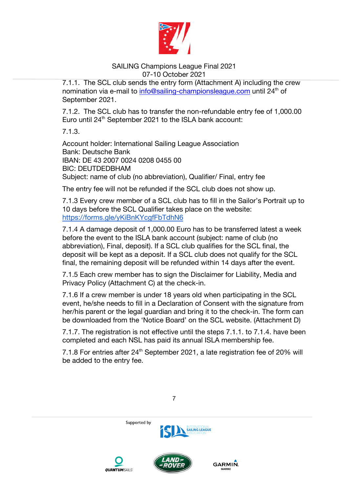

7.1.1. The SCL club sends the entry form (Attachment A) including the crew nomination via e-mail to info@sailing-championsleague.com until 24<sup>th</sup> of September 2021.

7.1.2. The SCL club has to transfer the non-refundable entry fee of 1,000.00 Euro until 24<sup>th</sup> September 2021 to the ISLA bank account:

7.1.3.

Account holder: International Sailing League Association Bank: Deutsche Bank IBAN: DE 43 2007 0024 0208 0455 00 BIC: DEUTDEDBHAM Subject: name of club (no abbreviation), Qualifier/ Final, entry fee

The entry fee will not be refunded if the SCL club does not show up.

7.1.3 Every crew member of a SCL club has to fill in the Sailor's Portrait up to 10 days before the SCL Qualifier takes place on the website: https://forms.gle/yKiBnKYcgfFbTdhN6

7.1.4 A damage deposit of 1,000.00 Euro has to be transferred latest a week before the event to the ISLA bank account (subject: name of club (no abbreviation), Final, deposit). If a SCL club qualifies for the SCL final, the deposit will be kept as a deposit. If a SCL club does not qualify for the SCL final, the remaining deposit will be refunded within 14 days after the event.

7.1.5 Each crew member has to sign the Disclaimer for Liability, Media and Privacy Policy (Attachment C) at the check-in.

7.1.6 If a crew member is under 18 years old when participating in the SCL event, he/she needs to fill in a Declaration of Consent with the signature from her/his parent or the legal guardian and bring it to the check-in. The form can be downloaded from the 'Notice Board' on the SCL website. (Attachment D)

7.1.7. The registration is not effective until the steps 7.1.1. to 7.1.4. have been completed and each NSL has paid its annual ISLA membership fee.

7.1.8 For entries after 24<sup>th</sup> September 2021, a late registration fee of 20% will be added to the entry fee.

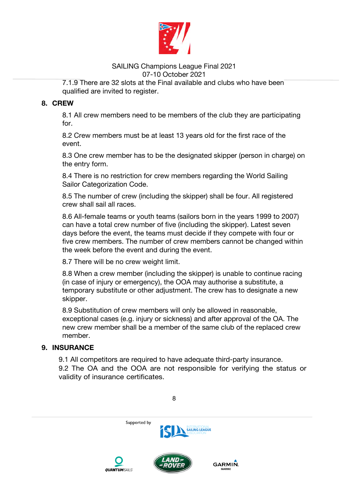

7.1.9 There are 32 slots at the Final available and clubs who have been qualified are invited to register.

# **8. CREW**

8.1 All crew members need to be members of the club they are participating for.

8.2 Crew members must be at least 13 years old for the first race of the event.

8.3 One crew member has to be the designated skipper (person in charge) on the entry form.

8.4 There is no restriction for crew members regarding the World Sailing Sailor Categorization Code.

8.5 The number of crew (including the skipper) shall be four. All registered crew shall sail all races.

8.6 All-female teams or youth teams (sailors born in the years 1999 to 2007) can have a total crew number of five (including the skipper). Latest seven days before the event, the teams must decide if they compete with four or five crew members. The number of crew members cannot be changed within the week before the event and during the event.

8.7 There will be no crew weight limit.

8.8 When a crew member (including the skipper) is unable to continue racing (in case of injury or emergency), the OOA may authorise a substitute, a temporary substitute or other adjustment. The crew has to designate a new skipper.

8.9 Substitution of crew members will only be allowed in reasonable, exceptional cases (e.g. injury or sickness) and after approval of the OA. The new crew member shall be a member of the same club of the replaced crew member.

# **9. INSURANCE**

9.1 All competitors are required to have adequate third-party insurance. 9.2 The OA and the OOA are not responsible for verifying the status or validity of insurance certificates.

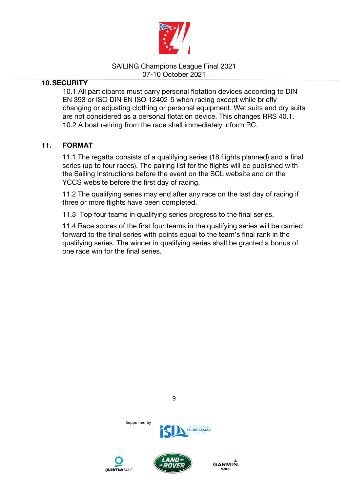

## **10.SECURITY**

10.1 All participants must carry personal flotation devices according to DIN EN 393 or ISO DIN EN ISO 12402-5 when racing except while briefly changing or adjusting clothing or personal equipment. Wet suits and dry suits are not considered as a personal flotation device. This changes RRS 40.1. 10.2 A boat retiring from the race shall immediately inform RC.

## **11. FORMAT**

11.1 The regatta consists of a qualifying series (18 flights planned) and a final series (up to four races). The pairing list for the flights will be published with the Sailing Instructions before the event on the SCL website and on the YCCS website before the first day of racing.

11.2 The qualifying series may end after any race on the last day of racing if three or more flights have been completed.

11.3 Top four teams in qualifying series progress to the final series.

11.4 Race scores of the first four teams in the qualifying series will be carried forward to the final series with points equal to the team's final rank in the qualifying series. The winner in qualifying series shall be granted a bonus of one race win for the final series.





GARMIN.



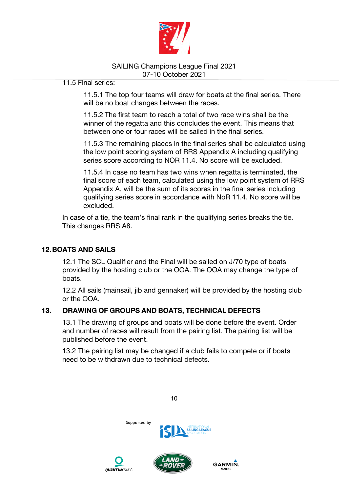

11.5 Final series:

11.5.1 The top four teams will draw for boats at the final series. There will be no boat changes between the races.

11.5.2 The first team to reach a total of two race wins shall be the winner of the regatta and this concludes the event. This means that between one or four races will be sailed in the final series.

11.5.3 The remaining places in the final series shall be calculated using the low point scoring system of RRS Appendix A including qualifying series score according to NOR 11.4. No score will be excluded.

11.5.4 In case no team has two wins when regatta is terminated, the final score of each team, calculated using the low point system of RRS Appendix A, will be the sum of its scores in the final series including qualifying series score in accordance with NoR 11.4. No score will be excluded.

In case of a tie, the team's final rank in the qualifying series breaks the tie. This changes RRS A8.

# **12.BOATS AND SAILS**

12.1 The SCL Qualifier and the Final will be sailed on J/70 type of boats provided by the hosting club or the OOA. The OOA may change the type of boats.

12.2 All sails (mainsail, jib and gennaker) will be provided by the hosting club or the OOA.

# **13. DRAWING OF GROUPS AND BOATS, TECHNICAL DEFECTS**

13.1 The drawing of groups and boats will be done before the event. Order and number of races will result from the pairing list. The pairing list will be published before the event.

13.2 The pairing list may be changed if a club fails to compete or if boats need to be withdrawn due to technical defects.

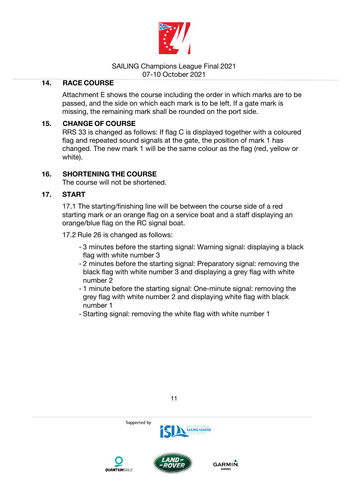

## **14. RACE COURSE**

Attachment E shows the course including the order in which marks are to be passed, and the side on which each mark is to be left. If a gate mark is missing, the remaining mark shall be rounded on the port side.

## **15. CHANGE OF COURSE**

RRS 33 is changed as follows: If flag C is displayed together with a coloured flag and repeated sound signals at the gate, the position of mark 1 has changed. The new mark 1 will be the same colour as the flag (red, yellow or white).

## **16. SHORTENING THE COURSE**

The course will not be shortened.

## **17. START**

17.1 The starting/finishing line will be between the course side of a red starting mark or an orange flag on a service boat and a staff displaying an orange/blue flag on the RC signal boat.

17.2 Rule 26 is changed as follows:

- 3 minutes before the starting signal: Warning signal: displaying a black flag with white number 3
- 2 minutes before the starting signal: Preparatory signal: removing the black flag with white number 3 and displaying a grey flag with white number 2
- 1 minute before the starting signal: One-minute signal: removing the grey flag with white number 2 and displaying white flag with black number 1
- Starting signal: removing the white flag with white number 1





Supported by



**SAILING LEAGUE**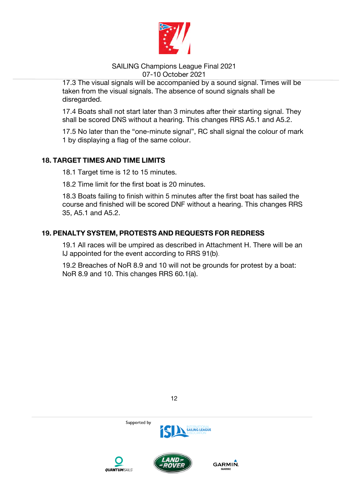

17.3 The visual signals will be accompanied by a sound signal. Times will be taken from the visual signals. The absence of sound signals shall be disregarded.

17.4 Boats shall not start later than 3 minutes after their starting signal. They shall be scored DNS without a hearing. This changes RRS A5.1 and A5.2.

17.5 No later than the "one-minute signal", RC shall signal the colour of mark 1 by displaying a flag of the same colour.

## **18. TARGET TIMES AND TIME LIMITS**

18.1 Target time is 12 to 15 minutes.

18.2 Time limit for the first boat is 20 minutes.

18.3 Boats failing to finish within 5 minutes after the first boat has sailed the course and finished will be scored DNF without a hearing. This changes RRS 35, A5.1 and A5.2.

## **19. PENALTY SYSTEM, PROTESTS AND REQUESTS FOR REDRESS**

19.1 All races will be umpired as described in Attachment H. There will be an IJ appointed for the event according to RRS 91(b).

19.2 Breaches of NoR 8.9 and 10 will not be grounds for protest by a boat: NoR 8.9 and 10. This changes RRS 60.1(a).



12







Supported by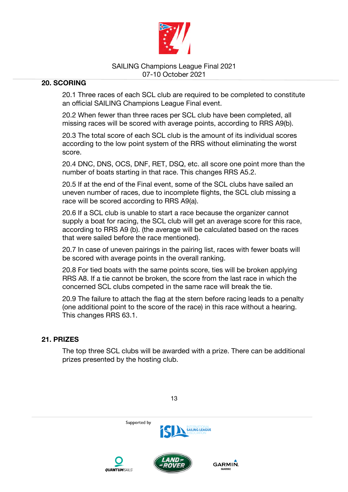

## **20. SCORING**

20.1 Three races of each SCL club are required to be completed to constitute an official SAILING Champions League Final event.

20.2 When fewer than three races per SCL club have been completed, all missing races will be scored with average points, according to RRS A9(b).

20.3 The total score of each SCL club is the amount of its individual scores according to the low point system of the RRS without eliminating the worst score.

20.4 DNC, DNS, OCS, DNF, RET, DSQ, etc. all score one point more than the number of boats starting in that race. This changes RRS A5.2.

20.5 If at the end of the Final event, some of the SCL clubs have sailed an uneven number of races, due to incomplete flights, the SCL club missing a race will be scored according to RRS A9(a).

20.6 If a SCL club is unable to start a race because the organizer cannot supply a boat for racing, the SCL club will get an average score for this race, according to RRS A9 (b). (the average will be calculated based on the races that were sailed before the race mentioned).

20.7 In case of uneven pairings in the pairing list, races with fewer boats will be scored with average points in the overall ranking.

20.8 For tied boats with the same points score, ties will be broken applying RRS A8. If a tie cannot be broken, the score from the last race in which the concerned SCL clubs competed in the same race will break the tie.

20.9 The failure to attach the flag at the stern before racing leads to a penalty (one additional point to the score of the race) in this race without a hearing. This changes RRS 63.1.

## **21. PRIZES**

The top three SCL clubs will be awarded with a prize. There can be additional prizes presented by the hosting club.

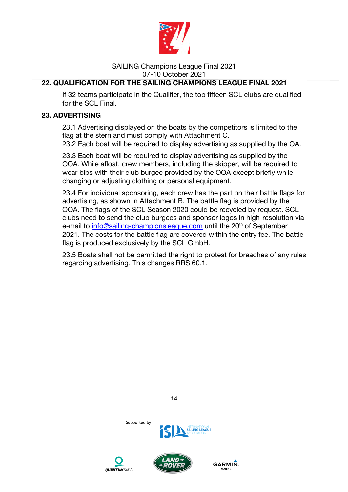

# **22. QUALIFICATION FOR THE SAILING CHAMPIONS LEAGUE FINAL 2021**

If 32 teams participate in the Qualifier, the top fifteen SCL clubs are qualified for the SCL Final.

## **23. ADVERTISING**

23.1 Advertising displayed on the boats by the competitors is limited to the flag at the stern and must comply with Attachment C.

23.2 Each boat will be required to display advertising as supplied by the OA.

23.3 Each boat will be required to display advertising as supplied by the OOA. While afloat, crew members, including the skipper, will be required to wear bibs with their club burgee provided by the OOA except briefly while changing or adjusting clothing or personal equipment.

23.4 For individual sponsoring, each crew has the part on their battle flags for advertising, as shown in Attachment B. The battle flag is provided by the OOA. The flags of the SCL Season 2020 could be recycled by request. SCL clubs need to send the club burgees and sponsor logos in high-resolution via e-mail to info@sailing-championsleague.com until the 20<sup>th</sup> of September 2021. The costs for the battle flag are covered within the entry fee. The battle flag is produced exclusively by the SCL GmbH.

23.5 Boats shall not be permitted the right to protest for breaches of any rules regarding advertising. This changes RRS 60.1.



14





**GARMIN**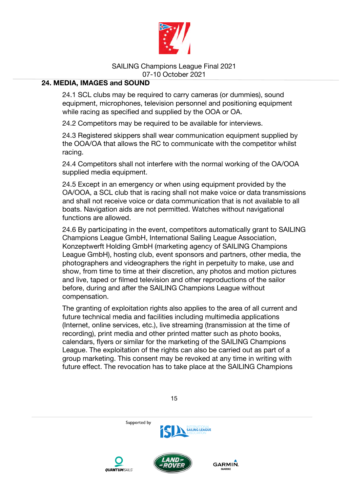

## **24. MEDIA, IMAGES and SOUND**

24.1 SCL clubs may be required to carry cameras (or dummies), sound equipment, microphones, television personnel and positioning equipment while racing as specified and supplied by the OOA or OA.

24.2 Competitors may be required to be available for interviews.

24.3 Registered skippers shall wear communication equipment supplied by the OOA/OA that allows the RC to communicate with the competitor whilst racing.

24.4 Competitors shall not interfere with the normal working of the OA/OOA supplied media equipment.

24.5 Except in an emergency or when using equipment provided by the OA/OOA, a SCL club that is racing shall not make voice or data transmissions and shall not receive voice or data communication that is not available to all boats. Navigation aids are not permitted. Watches without navigational functions are allowed.

24.6 By participating in the event, competitors automatically grant to SAILING Champions League GmbH, International Sailing League Association, Konzeptwerft Holding GmbH (marketing agency of SAILING Champions League GmbH), hosting club, event sponsors and partners, other media, the photographers and videographers the right in perpetuity to make, use and show, from time to time at their discretion, any photos and motion pictures and live, taped or filmed television and other reproductions of the sailor before, during and after the SAILING Champions League without compensation.

The granting of exploitation rights also applies to the area of all current and future technical media and facilities including multimedia applications (Internet, online services, etc.), live streaming (transmission at the time of recording), print media and other printed matter such as photo books, calendars, flyers or similar for the marketing of the SAILING Champions League. The exploitation of the rights can also be carried out as part of a group marketing. This consent may be revoked at any time in writing with future effect. The revocation has to take place at the SAILING Champions

Supported by **SAILING LEAGUE GARMIN OUANTUMSAILS**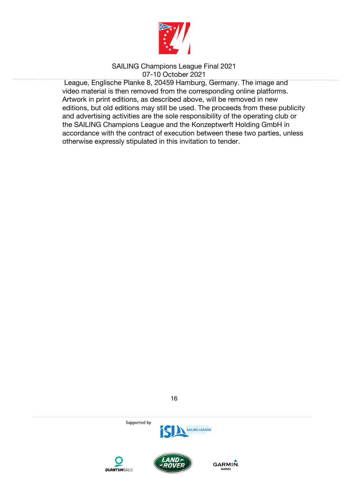

 League, Englische Planke 8, 20459 Hamburg, Germany. The image and video material is then removed from the corresponding online platforms. Artwork in print editions, as described above, will be removed in new editions, but old editions may still be used. The proceeds from these publicity and advertising activities are the sole responsibility of the operating club or the SAILING Champions League and the Konzeptwerft Holding GmbH in accordance with the contract of execution between these two parties, unless otherwise expressly stipulated in this invitation to tender.









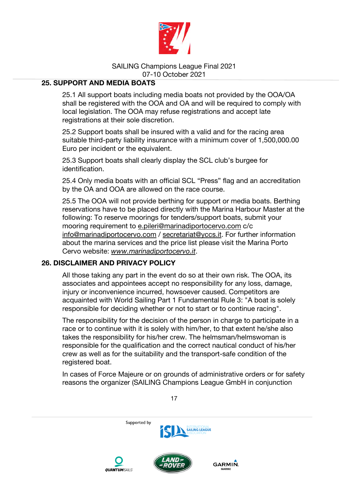

## **25. SUPPORT AND MEDIA BOATS**

25.1 All support boats including media boats not provided by the OOA/OA shall be registered with the OOA and OA and will be required to comply with local legislation. The OOA may refuse registrations and accept late registrations at their sole discretion.

25.2 Support boats shall be insured with a valid and for the racing area suitable third-party liability insurance with a minimum cover of 1,500,000.00 Euro per incident or the equivalent.

25.3 Support boats shall clearly display the SCL club's burgee for identification.

25.4 Only media boats with an official SCL "Press" flag and an accreditation by the OA and OOA are allowed on the race course.

25.5 The OOA will not provide berthing for support or media boats. Berthing reservations have to be placed directly with the Marina Harbour Master at the following: To reserve moorings for tenders/support boats, submit your mooring requirement to e.pileri@marinadiportocervo.com c/c info@marinadiportocervo.com / secretariat@yccs.it. For further information about the marina services and the price list please visit the Marina Porto Cervo website: *www.marinadiportocervo.it*.

## **26. DISCLAIMER AND PRIVACY POLICY**

All those taking any part in the event do so at their own risk. The OOA, its associates and appointees accept no responsibility for any loss, damage, injury or inconvenience incurred, howsoever caused. Competitors are acquainted with World Sailing Part 1 Fundamental Rule 3: "A boat is solely responsible for deciding whether or not to start or to continue racing".

The responsibility for the decision of the person in charge to participate in a race or to continue with it is solely with him/her, to that extent he/she also takes the responsibility for his/her crew. The helmsman/helmswoman is responsible for the qualification and the correct nautical conduct of his/her crew as well as for the suitability and the transport-safe condition of the registered boat.

In cases of Force Majeure or on grounds of administrative orders or for safety reasons the organizer (SAILING Champions League GmbH in conjunction

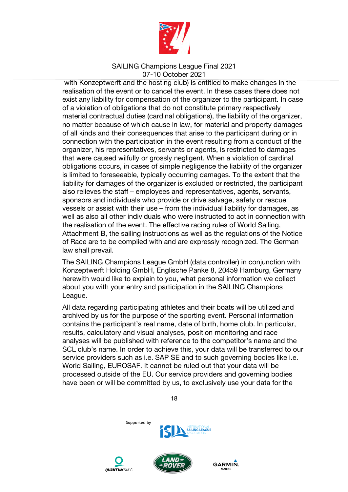

 with Konzeptwerft and the hosting club) is entitled to make changes in the realisation of the event or to cancel the event. In these cases there does not exist any liability for compensation of the organizer to the participant. In case of a violation of obligations that do not constitute primary respectively material contractual duties (cardinal obligations), the liability of the organizer, no matter because of which cause in law, for material and property damages of all kinds and their consequences that arise to the participant during or in connection with the participation in the event resulting from a conduct of the organizer, his representatives, servants or agents, is restricted to damages that were caused wilfully or grossly negligent. When a violation of cardinal obligations occurs, in cases of simple negligence the liability of the organizer is limited to foreseeable, typically occurring damages. To the extent that the liability for damages of the organizer is excluded or restricted, the participant also relieves the staff – employees and representatives, agents, servants, sponsors and individuals who provide or drive salvage, safety or rescue vessels or assist with their use – from the individual liability for damages, as well as also all other individuals who were instructed to act in connection with the realisation of the event. The effective racing rules of World Sailing, Attachment B, the sailing instructions as well as the regulations of the Notice of Race are to be complied with and are expressly recognized. The German law shall prevail.

The SAILING Champions League GmbH (data controller) in conjunction with Konzeptwerft Holding GmbH, Englische Panke 8, 20459 Hamburg, Germany herewith would like to explain to you, what personal information we collect about you with your entry and participation in the SAILING Champions League.

All data regarding participating athletes and their boats will be utilized and archived by us for the purpose of the sporting event. Personal information contains the participant's real name, date of birth, home club. In particular, results, calculatory and visual analyses, position monitoring and race analyses will be published with reference to the competitor's name and the SCL club's name. In order to achieve this, your data will be transferred to our service providers such as i.e. SAP SE and to such governing bodies like i.e. World Sailing, EUROSAF. It cannot be ruled out that your data will be processed outside of the EU. Our service providers and governing bodies have been or will be committed by us, to exclusively use your data for the

18



**OUANTUMSAILS**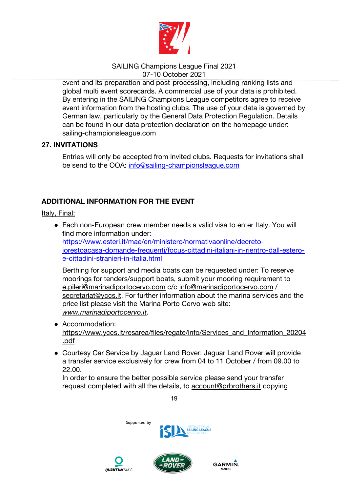

event and its preparation and post-processing, including ranking lists and global multi event scorecards. A commercial use of your data is prohibited. By entering in the SAILING Champions League competitors agree to receive event information from the hosting clubs. The use of your data is governed by German law, particularly by the General Data Protection Regulation. Details can be found in our data protection declaration on the homepage under: sailing-championsleague.com

## **27. INVITATIONS**

Entries will only be accepted from invited clubs. Requests for invitations shall be send to the OOA: info@sailing-championsleague.com

# **ADDITIONAL INFORMATION FOR THE EVENT**

Italy, Final:

• Each non-European crew member needs a valid visa to enter Italy. You will find more information under: https://www.esteri.it/mae/en/ministero/normativaonline/decretoiorestoacasa-domande-frequenti/focus-cittadini-italiani-in-rientro-dall-esteroe-cittadini-stranieri-in-italia.html

Berthing for support and media boats can be requested under: To reserve moorings for tenders/support boats, submit your mooring requirement to e.pileri@marinadiportocervo.com c/c info@marinadiportocervo.com / secretariat@yccs.it. For further information about the marina services and the price list please visit the Marina Porto Cervo web site: *www.marinadiportocervo.it*.

- Accommodation: https://www.yccs.it/resarea/files/regate/info/Services\_and\_Information\_20204 .pdf
- Courtesy Car Service by Jaguar Land Rover: Jaguar Land Rover will provide a transfer service exclusively for crew from 04 to 11 October / from 09.00 to 22.00.

In order to ensure the better possible service please send your transfer request completed with all the details, to account@prbrothers.it copying

19







GARMIN.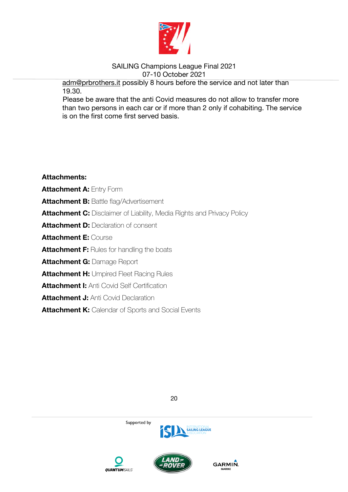

adm@prbrothers.it possibly 8 hours before the service and not later than 19.30.

Please be aware that the anti Covid measures do not allow to transfer more than two persons in each car or if more than 2 only if cohabiting. The service is on the first come first served basis.

**Attachments: Attachment A:** Entry Form **Attachment B: Battle flag/Advertisement Attachment C:** Disclaimer of Liability, Media Rights and Privacy Policy **Attachment D: Declaration of consent Attachment E:** Course **Attachment F:** Rules for handling the boats **Attachment G:** Damage Report **Attachment H: Umpired Fleet Racing Rules Attachment I:** Anti Covid Self Certification **Attachment J: Anti Covid Declaration Attachment K:** Calendar of Sports and Social Events







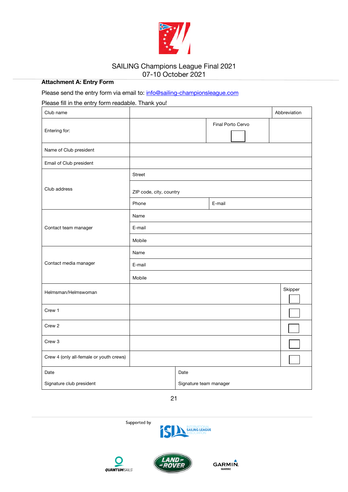

#### **Attachment A: Entry Form**

#### Please send the entry form via email to: info@sailing-championsleague.com

#### Please fill in the entry form readable. Thank you!

| Club name                               |                         |                        |                   | Abbreviation |
|-----------------------------------------|-------------------------|------------------------|-------------------|--------------|
| Entering for:                           |                         |                        | Final Porto Cervo |              |
| Name of Club president                  |                         |                        |                   |              |
| Email of Club president                 |                         |                        |                   |              |
|                                         | Street                  |                        |                   |              |
| Club address                            | ZIP code, city, country |                        |                   |              |
|                                         | Phone                   |                        | E-mail            |              |
|                                         | Name                    |                        |                   |              |
| Contact team manager                    | E-mail                  |                        |                   |              |
|                                         | Mobile                  |                        |                   |              |
|                                         | Name                    |                        |                   |              |
| Contact media manager                   | E-mail                  |                        |                   |              |
|                                         | Mobile                  |                        |                   |              |
| Helmsman/Helmswoman                     |                         |                        |                   | Skipper      |
| Crew 1                                  |                         |                        |                   |              |
| Crew 2                                  |                         |                        |                   |              |
| Crew 3                                  |                         |                        |                   |              |
| Crew 4 (only all-female or youth crews) |                         |                        |                   |              |
| Date                                    |                         | Date                   |                   |              |
| Signature club president                |                         | Signature team manager |                   |              |



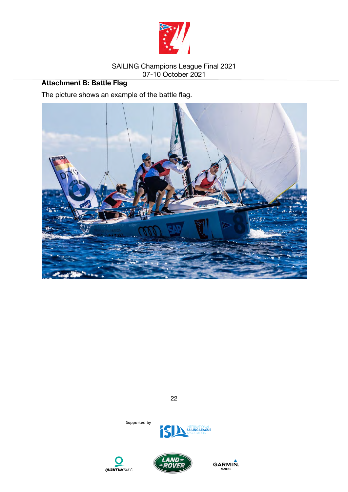

# **Attachment B: Battle Flag**

The picture shows an example of the battle flag.



22





Supported by



**GARMIN.**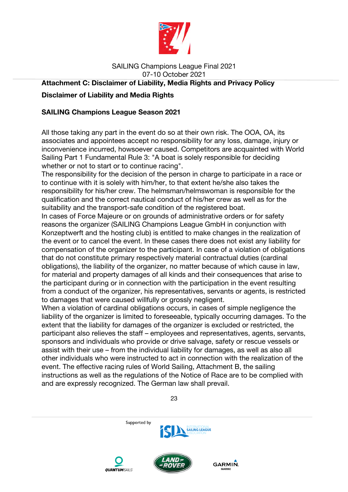

# SAILING Champions League Final 2021 07-10 October 2021 **Attachment C: Disclaimer of Liability, Media Rights and Privacy Policy Disclaimer of Liability and Media Rights**

## **SAILING Champions League Season 2021**

All those taking any part in the event do so at their own risk. The OOA, OA, its associates and appointees accept no responsibility for any loss, damage, injury or inconvenience incurred, howsoever caused. Competitors are acquainted with World Sailing Part 1 Fundamental Rule 3: "A boat is solely responsible for deciding whether or not to start or to continue racing".

The responsibility for the decision of the person in charge to participate in a race or to continue with it is solely with him/her, to that extent he/she also takes the responsibility for his/her crew. The helmsman/helmswoman is responsible for the qualification and the correct nautical conduct of his/her crew as well as for the suitability and the transport-safe condition of the registered boat.

In cases of Force Majeure or on grounds of administrative orders or for safety reasons the organizer (SAILING Champions League GmbH in conjunction with Konzeptwerft and the hosting club) is entitled to make changes in the realization of the event or to cancel the event. In these cases there does not exist any liability for compensation of the organizer to the participant. In case of a violation of obligations that do not constitute primary respectively material contractual duties (cardinal obligations), the liability of the organizer, no matter because of which cause in law, for material and property damages of all kinds and their consequences that arise to the participant during or in connection with the participation in the event resulting from a conduct of the organizer, his representatives, servants or agents, is restricted to damages that were caused willfully or grossly negligent.

When a violation of cardinal obligations occurs, in cases of simple negligence the liability of the organizer is limited to foreseeable, typically occurring damages. To the extent that the liability for damages of the organizer is excluded or restricted, the participant also relieves the staff – employees and representatives, agents, servants, sponsors and individuals who provide or drive salvage, safety or rescue vessels or assist with their use – from the individual liability for damages, as well as also all other individuals who were instructed to act in connection with the realization of the event. The effective racing rules of World Sailing, Attachment B, the sailing instructions as well as the regulations of the Notice of Race are to be complied with and are expressly recognized. The German law shall prevail.

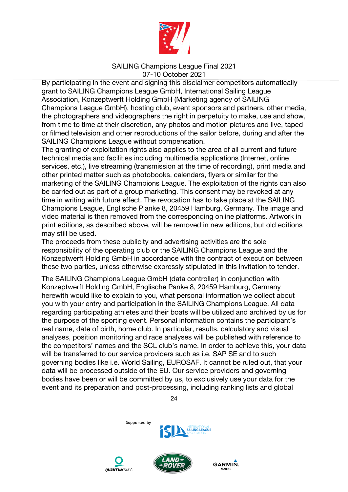

By participating in the event and signing this disclaimer competitors automatically grant to SAILING Champions League GmbH, International Sailing League Association, Konzeptwerft Holding GmbH (Marketing agency of SAILING Champions League GmbH), hosting club, event sponsors and partners, other media, the photographers and videographers the right in perpetuity to make, use and show, from time to time at their discretion, any photos and motion pictures and live, taped or filmed television and other reproductions of the sailor before, during and after the SAILING Champions League without compensation.

The granting of exploitation rights also applies to the area of all current and future technical media and facilities including multimedia applications (Internet, online services, etc.), live streaming (transmission at the time of recording), print media and other printed matter such as photobooks, calendars, flyers or similar for the marketing of the SAILING Champions League. The exploitation of the rights can also be carried out as part of a group marketing. This consent may be revoked at any time in writing with future effect. The revocation has to take place at the SAILING Champions League, Englische Planke 8, 20459 Hamburg, Germany. The image and video material is then removed from the corresponding online platforms. Artwork in print editions, as described above, will be removed in new editions, but old editions may still be used.

The proceeds from these publicity and advertising activities are the sole responsibility of the operating club or the SAILING Champions League and the Konzeptwerft Holding GmbH in accordance with the contract of execution between these two parties, unless otherwise expressly stipulated in this invitation to tender.

The SAILING Champions League GmbH (data controller) in conjunction with Konzeptwerft Holding GmbH, Englische Panke 8, 20459 Hamburg, Germany herewith would like to explain to you, what personal information we collect about you with your entry and participation in the SAILING Champions League. All data regarding participating athletes and their boats will be utilized and archived by us for the purpose of the sporting event. Personal information contains the participant's real name, date of birth, home club. In particular, results, calculatory and visual analyses, position monitoring and race analyses will be published with reference to the competitors' names and the SCL club's name. In order to achieve this, your data will be transferred to our service providers such as i.e. SAP SE and to such governing bodies like i.e. World Sailing, EUROSAF. It cannot be ruled out, that your data will be processed outside of the EU. Our service providers and governing bodies have been or will be committed by us, to exclusively use your data for the event and its preparation and post-processing, including ranking lists and global

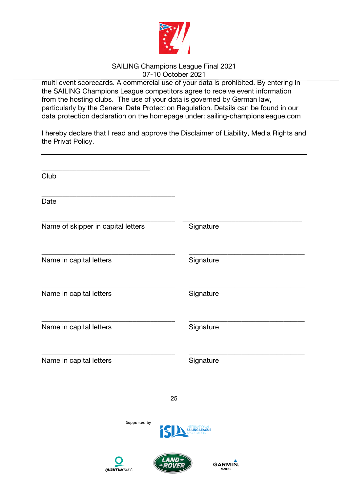

multi event scorecards. A commercial use of your data is prohibited. By entering in the SAILING Champions League competitors agree to receive event information from the hosting clubs. The use of your data is governed by German law, particularly by the General Data Protection Regulation. Details can be found in our data protection declaration on the homepage under: sailing-championsleague.com

I hereby declare that I read and approve the Disclaimer of Liability, Media Rights and the Privat Policy.

| Club                               |                                 |
|------------------------------------|---------------------------------|
| Date                               |                                 |
| Name of skipper in capital letters | Signature                       |
| Name in capital letters            | Signature                       |
| Name in capital letters            | Signature                       |
| Name in capital letters            | Signature                       |
| Name in capital letters            | Signature                       |
| 25                                 |                                 |
| Supported by<br>15                 | INTERNATIONAL<br>SAILING LEAGUE |
| <b>QUANTUMSAILS</b>                | GARMIN.<br><b>MARINE</b>        |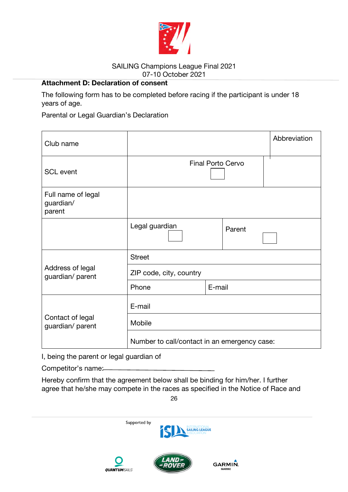

# **Attachment D: Declaration of consent**

The following form has to be completed before racing if the participant is under 18 years of age.

Parental or Legal Guardian's Declaration

| Club name                                 |                                              |        |        | Abbreviation |
|-------------------------------------------|----------------------------------------------|--------|--------|--------------|
| <b>SCL</b> event                          | <b>Final Porto Cervo</b>                     |        |        |              |
| Full name of legal<br>guardian/<br>parent |                                              |        |        |              |
|                                           | Legal guardian                               |        | Parent |              |
| Address of legal<br>guardian/ parent      | <b>Street</b>                                |        |        |              |
|                                           | ZIP code, city, country                      |        |        |              |
|                                           | Phone                                        | E-mail |        |              |
|                                           | E-mail                                       |        |        |              |
| Contact of legal<br>guardian/ parent      | Mobile                                       |        |        |              |
|                                           | Number to call/contact in an emergency case: |        |        |              |

I, being the parent or legal guardian of

Competitor's name:

Hereby confirm that the agreement below shall be binding for him/her. I further agree that he/she may compete in the races as specified in the Notice of Race and

26

Supported by



GARMIN.

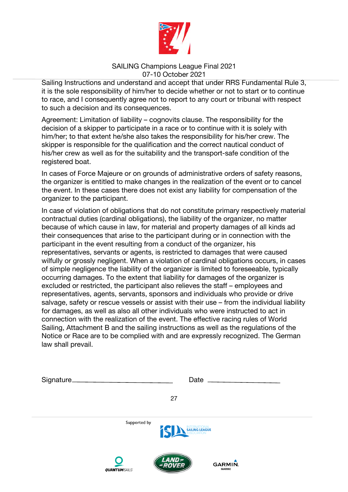

Sailing Instructions and understand and accept that under RRS Fundamental Rule 3, it is the sole responsibility of him/her to decide whether or not to start or to continue to race, and I consequently agree not to report to any court or tribunal with respect to such a decision and its consequences.

Agreement: Limitation of liability – cognovits clause. The responsibility for the decision of a skipper to participate in a race or to continue with it is solely with him/her; to that extent he/she also takes the responsibility for his/her crew. The skipper is responsible for the qualification and the correct nautical conduct of his/her crew as well as for the suitability and the transport-safe condition of the registered boat.

In cases of Force Majeure or on grounds of administrative orders of safety reasons, the organizer is entitled to make changes in the realization of the event or to cancel the event. In these cases there does not exist any liability for compensation of the organizer to the participant.

In case of violation of obligations that do not constitute primary respectively material contractual duties (cardinal obligations), the liability of the organizer, no matter because of which cause in law, for material and property damages of all kinds ad their consequences that arise to the participant during or in connection with the participant in the event resulting from a conduct of the organizer, his representatives, servants or agents, is restricted to damages that were caused wilfully or grossly negligent. When a violation of cardinal obligations occurs, in cases of simple negligence the liability of the organizer is limited to foreseeable, typically occurring damages. To the extent that liability for damages of the organizer is excluded or restricted, the participant also relieves the staff – employees and representatives, agents, servants, sponsors and individuals who provide or drive salvage, safety or rescue vessels or assist with their use – from the individual liability for damages, as well as also all other individuals who were instructed to act in connection with the realization of the event. The effective racing rules of World Sailing, Attachment B and the sailing instructions as well as the regulations of the Notice or Race are to be complied with and are expressly recognized. The German law shall prevail.

| Signature_ | Date                                                                                                       |  |
|------------|------------------------------------------------------------------------------------------------------------|--|
|            | 27                                                                                                         |  |
|            | Supported by<br>INTERNATIONAL<br><b>SAILING LEAGUE</b><br>ASSOCIATION                                      |  |
|            | <i>AND&gt;</i><br>$\blacksquare$<br><b>GARMIN.</b><br><b>ROVER</b><br><b>MARINE</b><br><b>QUANTUMSAILS</b> |  |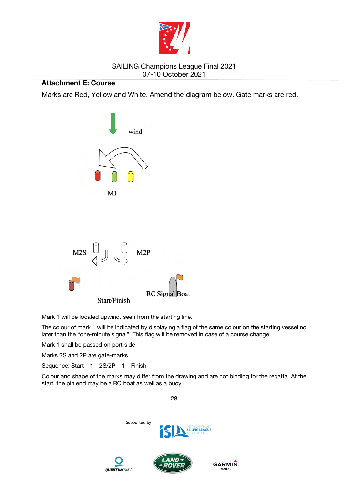

## **Attachment E: Course**

Marks are Red, Yellow and White. Amend the diagram below. Gate marks are red.



Mark 1 will be located upwind, seen from the starting line.

The colour of mark 1 will be indicated by displaying a flag of the same colour on the starting vessel no later than the "one-minute signal". This flag will be removed in case of a course change.

Mark 1 shall be passed on port side

Marks 2S and 2P are gate-marks

Sequence: Start – 1 – 2S/2P – 1 – Finish

Colour and shape of the marks may differ from the drawing and are not binding for the regatta. At the start, the pin end may be a RC boat as well as a buoy.

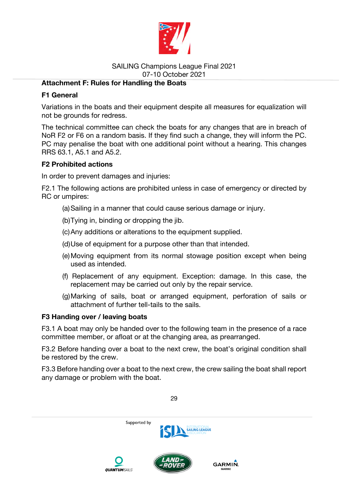

## **Attachment F: Rules for Handling the Boats**

## **F1 General**

Variations in the boats and their equipment despite all measures for equalization will not be grounds for redress.

The technical committee can check the boats for any changes that are in breach of NoR F2 or F6 on a random basis. If they find such a change, they will inform the PC. PC may penalise the boat with one additional point without a hearing. This changes RRS 63.1, A5.1 and A5.2.

## **F2 Prohibited actions**

In order to prevent damages and injuries:

F2.1 The following actions are prohibited unless in case of emergency or directed by RC or umpires:

- (a) Sailing in a manner that could cause serious damage or injury.
- (b) Tying in, binding or dropping the jib.
- (c) Any additions or alterations to the equipment supplied.
- (d) Use of equipment for a purpose other than that intended.
- (e) Moving equipment from its normal stowage position except when being used as intended.
- (f) Replacement of any equipment. Exception: damage. In this case, the replacement may be carried out only by the repair service.
- (g) Marking of sails, boat or arranged equipment, perforation of sails or attachment of further tell-tails to the sails.

#### **F3 Handing over / leaving boats**

F3.1 A boat may only be handed over to the following team in the presence of a race committee member, or afloat or at the changing area, as prearranged.

F3.2 Before handing over a boat to the next crew, the boat's original condition shall be restored by the crew.

F3.3 Before handing over a boat to the next crew, the crew sailing the boat shall report any damage or problem with the boat.

Supported by **SAILING LEAGUE GARMIN OUTRATTIMSALLS**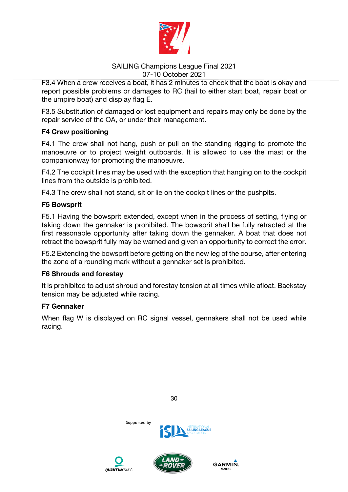

F3.4 When a crew receives a boat, it has 2 minutes to check that the boat is okay and report possible problems or damages to RC (hail to either start boat, repair boat or the umpire boat) and display flag E.

F3.5 Substitution of damaged or lost equipment and repairs may only be done by the repair service of the OA, or under their management.

## **F4 Crew positioning**

F4.1 The crew shall not hang, push or pull on the standing rigging to promote the manoeuvre or to project weight outboards. It is allowed to use the mast or the companionway for promoting the manoeuvre.

F4.2 The cockpit lines may be used with the exception that hanging on to the cockpit lines from the outside is prohibited.

F4.3 The crew shall not stand, sit or lie on the cockpit lines or the pushpits.

## **F5 Bowsprit**

F5.1 Having the bowsprit extended, except when in the process of setting, flying or taking down the gennaker is prohibited. The bowsprit shall be fully retracted at the first reasonable opportunity after taking down the gennaker. A boat that does not retract the bowsprit fully may be warned and given an opportunity to correct the error.

F5.2 Extending the bowsprit before getting on the new leg of the course, after entering the zone of a rounding mark without a gennaker set is prohibited.

#### **F6 Shrouds and forestay**

It is prohibited to adjust shroud and forestay tension at all times while afloat. Backstay tension may be adjusted while racing.

#### **F7 Gennaker**

When flag W is displayed on RC signal vessel, gennakers shall not be used while racing.

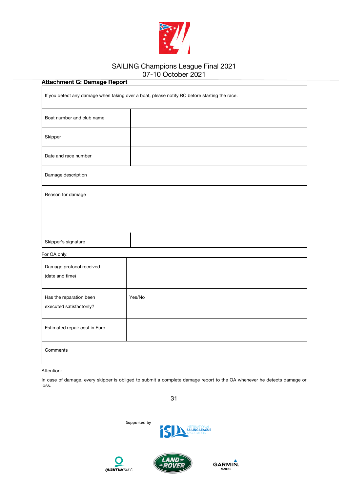

| <b>Attachment G: Damage Report</b>                                                           |        |  |
|----------------------------------------------------------------------------------------------|--------|--|
| If you detect any damage when taking over a boat, please notify RC before starting the race. |        |  |
| Boat number and club name                                                                    |        |  |
| Skipper                                                                                      |        |  |
| Date and race number                                                                         |        |  |
| Damage description                                                                           |        |  |
| Reason for damage                                                                            |        |  |
|                                                                                              |        |  |
|                                                                                              |        |  |
| Skipper's signature                                                                          |        |  |
| For OA only:                                                                                 |        |  |
| Damage protocol received                                                                     |        |  |
| (date and time)                                                                              |        |  |
| Has the reparation been<br>executed satisfactorily?                                          | Yes/No |  |
| Estimated repair cost in Euro                                                                |        |  |
| Comments                                                                                     |        |  |

Attention:

In case of damage, every skipper is obliged to submit a complete damage report to the OA whenever he detects damage or loss.







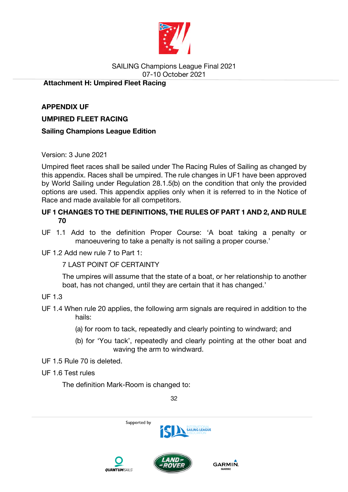

## **Attachment H: Umpired Fleet Racing**

**APPENDIX UF UMPIRED FLEET RACING** 

## **Sailing Champions League Edition**

## Version: 3 June 2021

Umpired fleet races shall be sailed under The Racing Rules of Sailing as changed by this appendix. Races shall be umpired. The rule changes in UF1 have been approved by World Sailing under Regulation 28.1.5(b) on the condition that only the provided options are used. This appendix applies only when it is referred to in the Notice of Race and made available for all competitors.

# **UF 1 CHANGES TO THE DEFINITIONS, THE RULES OF PART 1 AND 2, AND RULE 70**

UF 1.1 Add to the definition Proper Course: 'A boat taking a penalty or manoeuvering to take a penalty is not sailing a proper course.'

UF 1.2 Add new rule 7 to Part 1:

## 7 LAST POINT OF CERTAINTY

The umpires will assume that the state of a boat, or her relationship to another boat, has not changed, until they are certain that it has changed.'

## UF 1.3

- UF 1.4 When rule 20 applies, the following arm signals are required in addition to the hails:
	- (a) for room to tack, repeatedly and clearly pointing to windward; and
	- (b) for 'You tack', repeatedly and clearly pointing at the other boat and waving the arm to windward.
- UF 1.5 Rule 70 is deleted.

# UF 1.6 Test rules

The definition Mark-Room is changed to:

32







GARMIN.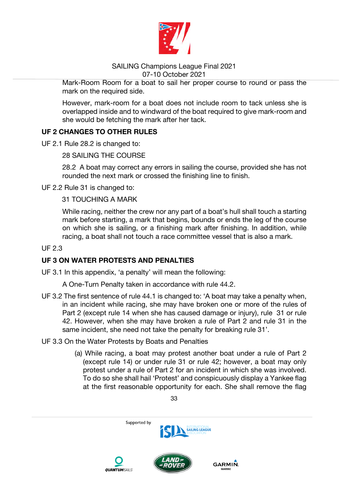

Mark-Room Room for a boat to sail her proper course to round or pass the mark on the required side.

However, mark-room for a boat does not include room to tack unless she is overlapped inside and to windward of the boat required to give mark-room and she would be fetching the mark after her tack.

## **UF 2 CHANGES TO OTHER RULES**

UF 2.1 Rule 28.2 is changed to:

28 SAILING THE COURSE

28.2 A boat may correct any errors in sailing the course, provided she has not rounded the next mark or crossed the finishing line to finish.

UF 2.2 Rule 31 is changed to:

31 TOUCHING A MARK

While racing, neither the crew nor any part of a boat's hull shall touch a starting mark before starting, a mark that begins, bounds or ends the leg of the course on which she is sailing, or a finishing mark after finishing. In addition, while racing, a boat shall not touch a race committee vessel that is also a mark.

## UF 2.3

## **UF 3 ON WATER PROTESTS AND PENALTIES**

UF 3.1 In this appendix, 'a penalty' will mean the following:

A One-Turn Penalty taken in accordance with rule 44.2.

UF 3.2 The first sentence of rule 44.1 is changed to: 'A boat may take a penalty when, in an incident while racing, she may have broken one or more of the rules of Part 2 (except rule 14 when she has caused damage or injury), rule 31 or rule 42. However, when she may have broken a rule of Part 2 and rule 31 in the same incident, she need not take the penalty for breaking rule 31'.

#### UF 3.3 On the Water Protests by Boats and Penalties

(a) While racing, a boat may protest another boat under a rule of Part 2 (except rule 14) or under rule 31 or rule 42; however, a boat may only protest under a rule of Part 2 for an incident in which she was involved. To do so she shall hail 'Protest' and conspicuously display a Yankee flag at the first reasonable opportunity for each. She shall remove the flag

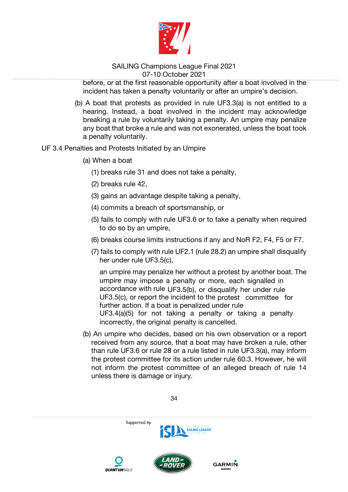

before, or at the first reasonable opportunity after a boat involved in the incident has taken a penalty voluntarily or after an umpire's decision.

- (b) A boat that protests as provided in rule UF3.3(a) is not entitled to a hearing. Instead, a boat involved in the incident may acknowledge breaking a rule by voluntarily taking a penalty. An umpire may penalize any boat that broke a rule and was not exonerated, unless the boat took a penalty voluntarily.
- UF 3.4 Penalties and Protests Initiated by an Umpire
	- (a) When a boat
		- (1) breaks rule 31 and does not take a penalty,
		- (2) breaks rule 42,
		- (3) gains an advantage despite taking a penalty,
		- (4) commits a breach of sportsmanship, or
		- (5) fails to comply with rule UF3.6 or to take a penalty when required to do so by an umpire,
		- (6) breaks course limits instructions if any and NoR F2, F4, F5 or F7.
		- (7) fails to comply with rule UF2.1 (rule 28.2) an umpire shall disqualify her under rule UF3.5(c),

an umpire may penalize her without a protest by another boat. The umpire may impose a penalty or more, each signalled in accordance with rule UF3.5(b), or disqualify her under rule UF3.5(c), or report the incident to the protest committee for further action. If a boat is penalized under rule UF3.4(a)(5) for not taking a penalty or taking a penalty incorrectly, the original penalty is cancelled.

(b) An umpire who decides, based on his own observation or a report received from any source, that a boat may have broken a rule, other than rule UF3.6 or rule 28 or a rule listed in rule UF3.3(a), may inform the protest committee for its action under rule 60.3. However, he will not inform the protest committee of an alleged breach of rule 14 unless there is damage or injury.

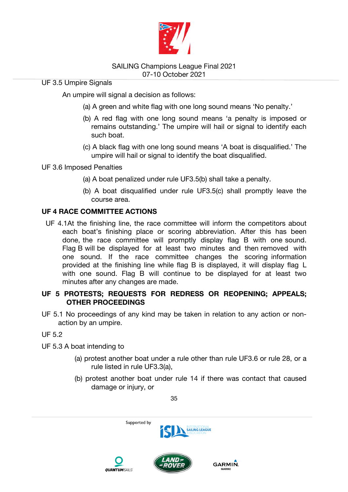

UF 3.5 Umpire Signals

An umpire will signal a decision as follows:

- (a) A green and white flag with one long sound means 'No penalty.'
- (b) A red flag with one long sound means 'a penalty is imposed or remains outstanding.' The umpire will hail or signal to identify each such boat.
- (c) A black flag with one long sound means 'A boat is disqualified.' The umpire will hail or signal to identify the boat disqualified.

## UF 3.6 Imposed Penalties

- (a) A boat penalized under rule UF3.5(b) shall take a penalty.
- (b) A boat disqualified under rule UF3.5(c) shall promptly leave the course area.

## **UF 4 RACE COMMITTEE ACTIONS**

UF 4.1At the finishing line, the race committee will inform the competitors about each boat's finishing place or scoring abbreviation. After this has been done, the race committee will promptly display flag B with one sound. Flag B will be displayed for at least two minutes and then removed with one sound. If the race committee changes the scoring information provided at the finishing line while flag B is displayed, it will display flag L with one sound. Flag B will continue to be displayed for at least two minutes after any changes are made.

## **UF 5 PROTESTS; REQUESTS FOR REDRESS OR REOPENING; APPEALS; OTHER PROCEEDINGS**

UF 5.1 No proceedings of any kind may be taken in relation to any action or nonaction by an umpire.

## UF 5.2

- UF 5.3 A boat intending to
	- (a) protest another boat under a rule other than rule UF3.6 or rule 28, or a rule listed in rule UF3.3(a),
	- (b) protest another boat under rule 14 if there was contact that caused damage or injury, or

GARMIN.





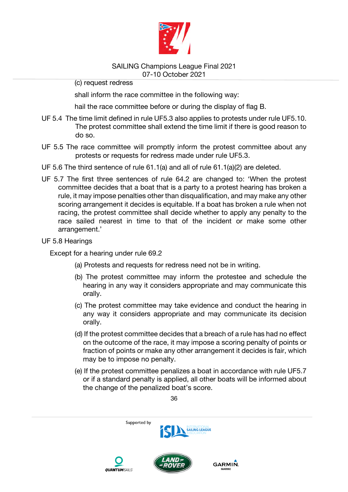

(c) request redress

shall inform the race committee in the following way:

hail the race committee before or during the display of flag B.

- UF 5.4 The time limit defined in rule UF5.3 also applies to protests under rule UF5.10. The protest committee shall extend the time limit if there is good reason to do so.
- UF 5.5 The race committee will promptly inform the protest committee about any protests or requests for redress made under rule UF5.3.
- UF 5.6 The third sentence of rule 61.1(a) and all of rule 61.1(a)(2) are deleted.
- UF 5.7 The first three sentences of rule 64.2 are changed to: 'When the protest committee decides that a boat that is a party to a protest hearing has broken a rule, it may impose penalties other than disqualification, and may make any other scoring arrangement it decides is equitable. If a boat has broken a rule when not racing, the protest committee shall decide whether to apply any penalty to the race sailed nearest in time to that of the incident or make some other arrangement.'

#### UF 5.8 Hearings

Except for a hearing under rule 69.2

- (a) Protests and requests for redress need not be in writing.
- (b) The protest committee may inform the protestee and schedule the hearing in any way it considers appropriate and may communicate this orally.
- (c) The protest committee may take evidence and conduct the hearing in any way it considers appropriate and may communicate its decision orally.
- (d) If the protest committee decides that a breach of a rule has had no effect on the outcome of the race, it may impose a scoring penalty of points or fraction of points or make any other arrangement it decides is fair, which may be to impose no penalty.
- (e) If the protest committee penalizes a boat in accordance with rule UF5.7 or if a standard penalty is applied, all other boats will be informed about the change of the penalized boat's score.

36







**GARMIN**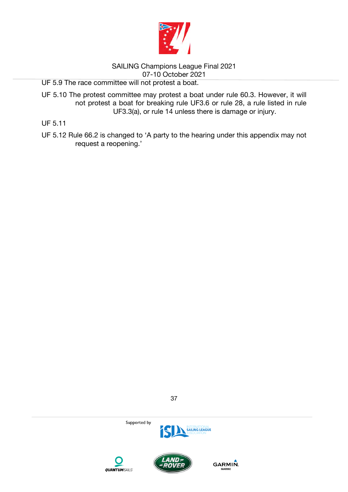

UF 5.9 The race committee will not protest a boat.

UF 5.10 The protest committee may protest a boat under rule 60.3. However, it will not protest a boat for breaking rule UF3.6 or rule 28, a rule listed in rule UF3.3(a), or rule 14 unless there is damage or injury.

UF 5.11

UF 5.12 Rule 66.2 is changed to 'A party to the hearing under this appendix may not request a reopening.'



37



GARMIN.



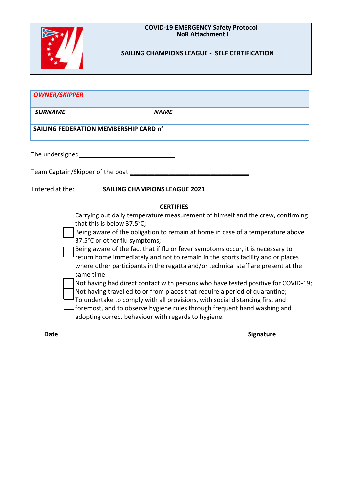

#### **COVID-19 EMERGENCY Safety Protocol NoR Attachment I**

#### **SAILING CHAMPIONS LEAGUE - SELF CERTIFICATION**

| <b>OWNER/SKIPPER</b>                  |             |
|---------------------------------------|-------------|
| <b>SURNAME</b>                        | <b>NAME</b> |
| SAILING FEDERATION MEMBERSHIP CARD n° |             |
| The undersigned                       |             |

Team Captain/Skipper of the boat

#### Entered at the: **SAILING CHAMPIONS LEAGUE 2021**

#### **CERTIFIES**

- Carrying out daily temperature measurement of himself and the crew, confirming that this is below 37.5°C;
- Being aware of the obligation to remain at home in case of a temperature above 37.5°C or other flu symptoms;
- Being aware of the fact that if flu or fever symptoms occur, it is necessary to
- return home immediately and not to remain in the sports facility and or places where other participants in the regatta and/or technical staff are present at the same time;
- Not having had direct contact with persons who have tested positive for COVID-19;
- Not having travelled to or from places that require a period of quarantine;
- To undertake to comply with all provisions, with social distancing first and
- foremost, and to observe hygiene rules through frequent hand washing and adopting correct behaviour with regards to hygiene.

#### **Date** Signature Signature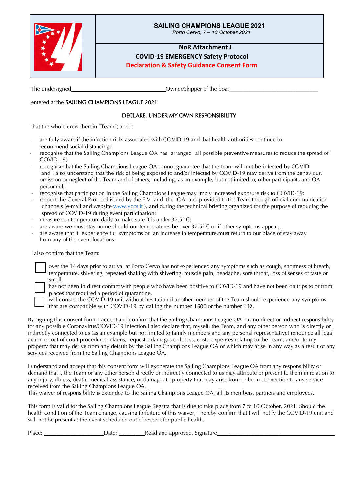

#### **SAILING CHAMPIONS LEAGUE 2021**

*Porto Cervo, 7 – 10 October 2021*

#### **NoR Attachment J**

**COVID-19 EMERGENCY Safety Protocol**

**Declaration & Safety Guidance Consent Form**

The undersigned The undersigned  $\Box$  Owner/Skipper of the boat

## entered at the SAILING CHAMPIONS LEAGUE 2021

#### DECLARE, UNDER MY OWN RESPONSIBILITY

that the whole crew (herein "Team") and I:

- are fully aware if the infection risks associated with COVID-19 and that health authorities continue to recommend social distancing;
- recognise that the Sailing Champions League OA has arranged all possible preventive measures to reduce the spread of COVID-19;
- recognise that the Sailing Champions League OA cannot guarantee that the team will not be infected by COVID and I also understand that the risk of being exposed to and/or infected by COVID-19 may derive from the behaviour, omission or neglect of the Team and of others, including, as an example, but notlimited to, other participants and OA personnel;
- recognise that participation in the Sailing Champions League may imply increased exposure risk to COVID-19;
- respect the General Protocol issued by the FIV and the OA and provided to the Team through official communication channels (e-mail and website [www.yccs.it](http://www.yccs.it/)), and during the technical briefing organized for the purpose of reducing the spread of COVID-19 during event participation;
- measure our temperature daily to make sure it is under  $37.5^{\circ}$  C;
- are aware we must stay home should our temperatures be over  $37.5^{\circ}$  C or if other symptoms appear;
- are aware that if experience flu symptoms or an increase in temperature, must return to our place of stay away from any of the event locations.

I also confirm that the Team:

over the 14 days prior to arrival at Porto Cervo has not experienced any symptoms such as cough, shortness of breath, temperature, shivering, repeated shaking with shivering, muscle pain, headache, sore throat, loss of senses of taste or smell.

has not been in direct contact with people who have been positive to COVID-19 and have not been on trips to or from places that required a period of quarantine. will contact the COVID-19 unit without hesitation if another member of the Team should experience any symptoms

that are compatible with COVID-19 by calling the number 1500 or the number 112.

By signing this consent form, I accept and confirm that the Sailing Champions League OA has no direct or indirect responsibility for any possible Coronavirus/COVID-19 infection. I also declare that, myself, the Team, and any other person who is directly or indirectly connected to us (as an example but not limited to family members and any personal representative) renounce all legal action or out of court procedures, claims, requests, damages or losses, costs, expenses relating to the Team, and/or to my property that may derive from any default by the Sailing Champions League OA or which may arise in any way as a result of any services received from the Sailing Champions League OA.

I understand and accept that this consent form will exonerate the Sailing Champions League OA from any responsibility or demand that I, the Team or any other person directly or indirectly connected to us may attribute or present to them in relation to any injury, illness, death, medical assistance, or damages to property that may arise from or be in connection to any service received from the Sailing Champions League OA.

This waiver of responsibility is extended to the Sailing Champions League OA, all its members, partners and employees.

This form is valid for the Sailing Champions League Regatta that is due to take place from 7 to 10 October, 2021. Should the health condition of the Team change, causing forfeiture of this waiver, I hereby confirm that I will notify the COVID-19 unit and will not be present at the event scheduled out of respect for public health.

Place: \_\_\_\_\_\_\_\_\_\_\_\_\_\_\_\_\_\_\_\_\_Date: \_\_\_\_ Read and approved, Signature \_\_\_\_\_\_\_\_\_\_\_\_\_\_\_\_\_\_